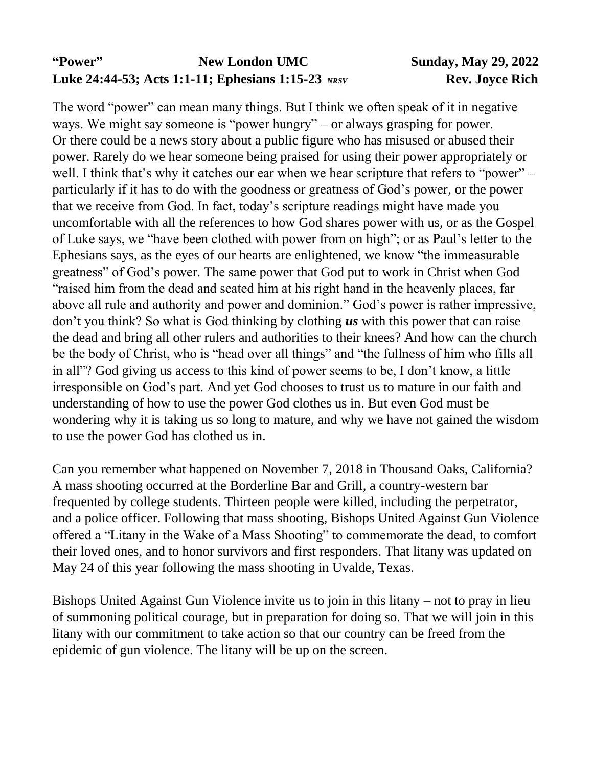# **"Power" New London UMC Sunday, May 29, 2022 Luke 24:44-53; Acts 1:1-11; Ephesians 1:15-23** *NRSV* **Rev. Joyce Rich**

The word "power" can mean many things. But I think we often speak of it in negative ways. We might say someone is "power hungry" – or always grasping for power. Or there could be a news story about a public figure who has misused or abused their power. Rarely do we hear someone being praised for using their power appropriately or well. I think that's why it catches our ear when we hear scripture that refers to "power" – particularly if it has to do with the goodness or greatness of God's power, or the power that we receive from God. In fact, today's scripture readings might have made you uncomfortable with all the references to how God shares power with us, or as the Gospel of Luke says, we "have been clothed with power from on high"; or as Paul's letter to the Ephesians says, as the eyes of our hearts are enlightened, we know "the immeasurable greatness" of God's power. The same power that God put to work in Christ when God "raised him from the dead and seated him at his right hand in the heavenly places, far above all rule and authority and power and dominion." God's power is rather impressive, don't you think? So what is God thinking by clothing *us* with this power that can raise the dead and bring all other rulers and authorities to their knees? And how can the church be the body of Christ, who is "head over all things" and "the fullness of him who fills all in all"? God giving us access to this kind of power seems to be, I don't know, a little irresponsible on God's part. And yet God chooses to trust us to mature in our faith and understanding of how to use the power God clothes us in. But even God must be wondering why it is taking us so long to mature, and why we have not gained the wisdom to use the power God has clothed us in.

Can you remember what happened on November 7, 2018 in Thousand Oaks, California? A mass shooting occurred at the Borderline Bar and Grill, a country-western bar frequented by college students. Thirteen people were killed, including the perpetrator, and a police officer. Following that mass shooting, Bishops United Against Gun Violence offered a "Litany in the Wake of a Mass Shooting" to commemorate the dead, to comfort their loved ones, and to honor survivors and first responders. That litany was updated on May 24 of this year following the mass shooting in Uvalde, Texas.

Bishops United Against Gun Violence invite us to join in this litany – not to pray in lieu of summoning political courage, but in preparation for doing so. That we will join in this litany with our commitment to take action so that our country can be freed from the epidemic of gun violence. The litany will be up on the screen.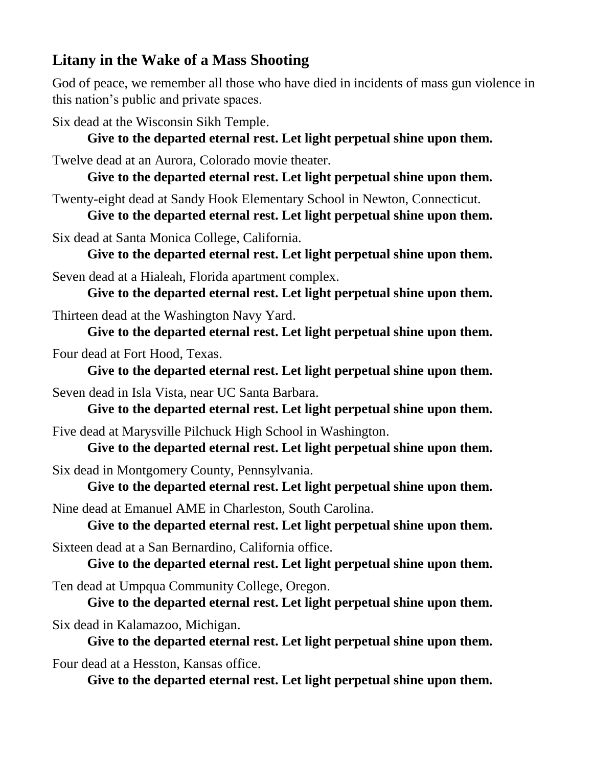# **Litany in the Wake of a Mass Shooting**

God of peace, we remember all those who have died in incidents of mass gun violence in this nation's public and private spaces.

Six dead at the Wisconsin Sikh Temple.

### **Give to the departed eternal rest. Let light perpetual shine upon them.**

Twelve dead at an Aurora, Colorado movie theater.

**Give to the departed eternal rest. Let light perpetual shine upon them.**

Twenty-eight dead at Sandy Hook Elementary School in Newton, Connecticut. **Give to the departed eternal rest. Let light perpetual shine upon them.**

Six dead at Santa Monica College, California.

**Give to the departed eternal rest. Let light perpetual shine upon them.**

Seven dead at a Hialeah, Florida apartment complex.

**Give to the departed eternal rest. Let light perpetual shine upon them.**

Thirteen dead at the Washington Navy Yard.

**Give to the departed eternal rest. Let light perpetual shine upon them.**

Four dead at Fort Hood, Texas.

**Give to the departed eternal rest. Let light perpetual shine upon them.**

Seven dead in Isla Vista, near UC Santa Barbara.

**Give to the departed eternal rest. Let light perpetual shine upon them.**

Five dead at Marysville Pilchuck High School in Washington.

**Give to the departed eternal rest. Let light perpetual shine upon them.**

Six dead in Montgomery County, Pennsylvania.

**Give to the departed eternal rest. Let light perpetual shine upon them.**

Nine dead at Emanuel AME in Charleston, South Carolina.

**Give to the departed eternal rest. Let light perpetual shine upon them.**

Sixteen dead at a San Bernardino, California office.

**Give to the departed eternal rest. Let light perpetual shine upon them.**

Ten dead at Umpqua Community College, Oregon.

**Give to the departed eternal rest. Let light perpetual shine upon them.**

Six dead in Kalamazoo, Michigan.

**Give to the departed eternal rest. Let light perpetual shine upon them.**

Four dead at a Hesston, Kansas office.

**Give to the departed eternal rest. Let light perpetual shine upon them.**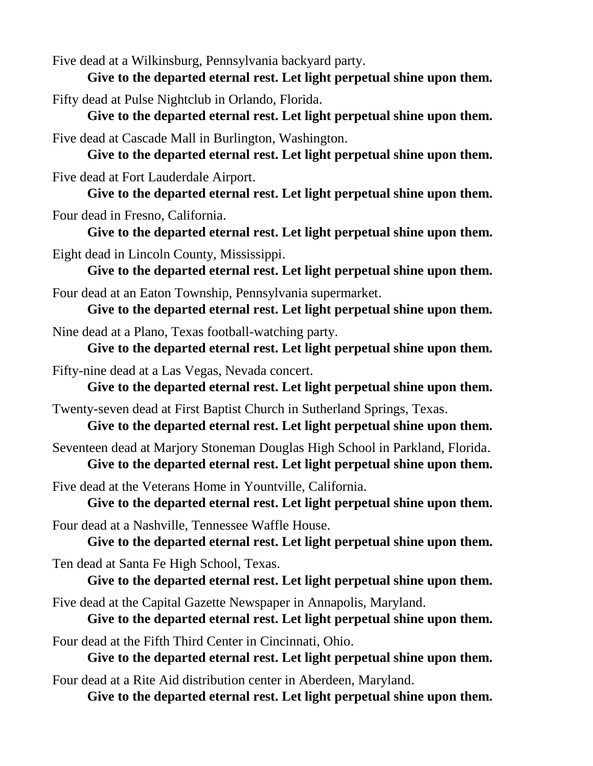Five dead at a Wilkinsburg, Pennsylvania backyard party.

**Give to the departed eternal rest. Let light perpetual shine upon them.**

Fifty dead at Pulse Nightclub in Orlando, Florida.

**Give to the departed eternal rest. Let light perpetual shine upon them.**

Five dead at Cascade Mall in Burlington, Washington.

**Give to the departed eternal rest. Let light perpetual shine upon them.**

Five dead at Fort Lauderdale Airport.

**Give to the departed eternal rest. Let light perpetual shine upon them.**

Four dead in Fresno, California.

**Give to the departed eternal rest. Let light perpetual shine upon them.**

Eight dead in Lincoln County, Mississippi.

**Give to the departed eternal rest. Let light perpetual shine upon them.**

Four dead at an Eaton Township, Pennsylvania supermarket.

**Give to the departed eternal rest. Let light perpetual shine upon them.**

Nine dead at a Plano, Texas football-watching party.

**Give to the departed eternal rest. Let light perpetual shine upon them.**

Fifty-nine dead at a Las Vegas, Nevada concert.

**Give to the departed eternal rest. Let light perpetual shine upon them.**

Twenty-seven dead at First Baptist Church in Sutherland Springs, Texas.

**Give to the departed eternal rest. Let light perpetual shine upon them.**

Seventeen dead at Marjory Stoneman Douglas High School in Parkland, Florida. **Give to the departed eternal rest. Let light perpetual shine upon them.**

Five dead at the Veterans Home in Yountville, California.

**Give to the departed eternal rest. Let light perpetual shine upon them.**

Four dead at a Nashville, Tennessee Waffle House.

**Give to the departed eternal rest. Let light perpetual shine upon them.**

Ten dead at Santa Fe High School, Texas.

**Give to the departed eternal rest. Let light perpetual shine upon them.**

Five dead at the Capital Gazette Newspaper in Annapolis, Maryland.

**Give to the departed eternal rest. Let light perpetual shine upon them.**

Four dead at the Fifth Third Center in Cincinnati, Ohio.

**Give to the departed eternal rest. Let light perpetual shine upon them.**

Four dead at a Rite Aid distribution center in Aberdeen, Maryland.

**Give to the departed eternal rest. Let light perpetual shine upon them.**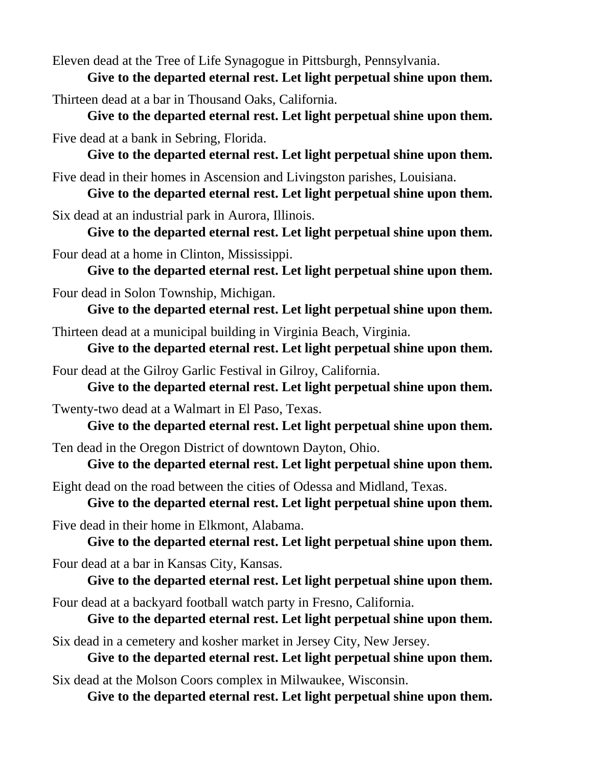Eleven dead at the Tree of Life Synagogue in Pittsburgh, Pennsylvania.

**Give to the departed eternal rest. Let light perpetual shine upon them.**

Thirteen dead at a bar in Thousand Oaks, California.

**Give to the departed eternal rest. Let light perpetual shine upon them.**

Five dead at a bank in Sebring, Florida.

**Give to the departed eternal rest. Let light perpetual shine upon them.**

Five dead in their homes in Ascension and Livingston parishes, Louisiana.

**Give to the departed eternal rest. Let light perpetual shine upon them.**

Six dead at an industrial park in Aurora, Illinois.

**Give to the departed eternal rest. Let light perpetual shine upon them.**

Four dead at a home in Clinton, Mississippi.

**Give to the departed eternal rest. Let light perpetual shine upon them.**

Four dead in Solon Township, Michigan.

**Give to the departed eternal rest. Let light perpetual shine upon them.**

Thirteen dead at a municipal building in Virginia Beach, Virginia.

**Give to the departed eternal rest. Let light perpetual shine upon them.**

Four dead at the Gilroy Garlic Festival in Gilroy, California.

**Give to the departed eternal rest. Let light perpetual shine upon them.**

Twenty-two dead at a Walmart in El Paso, Texas.

**Give to the departed eternal rest. Let light perpetual shine upon them.**

Ten dead in the Oregon District of downtown Dayton, Ohio.

**Give to the departed eternal rest. Let light perpetual shine upon them.**

Eight dead on the road between the cities of Odessa and Midland, Texas.

**Give to the departed eternal rest. Let light perpetual shine upon them.**

Five dead in their home in Elkmont, Alabama.

**Give to the departed eternal rest. Let light perpetual shine upon them.**

Four dead at a bar in Kansas City, Kansas.

**Give to the departed eternal rest. Let light perpetual shine upon them.**

Four dead at a backyard football watch party in Fresno, California.

**Give to the departed eternal rest. Let light perpetual shine upon them.**

Six dead in a cemetery and kosher market in Jersey City, New Jersey.

**Give to the departed eternal rest. Let light perpetual shine upon them.**

Six dead at the Molson Coors complex in Milwaukee, Wisconsin.

**Give to the departed eternal rest. Let light perpetual shine upon them.**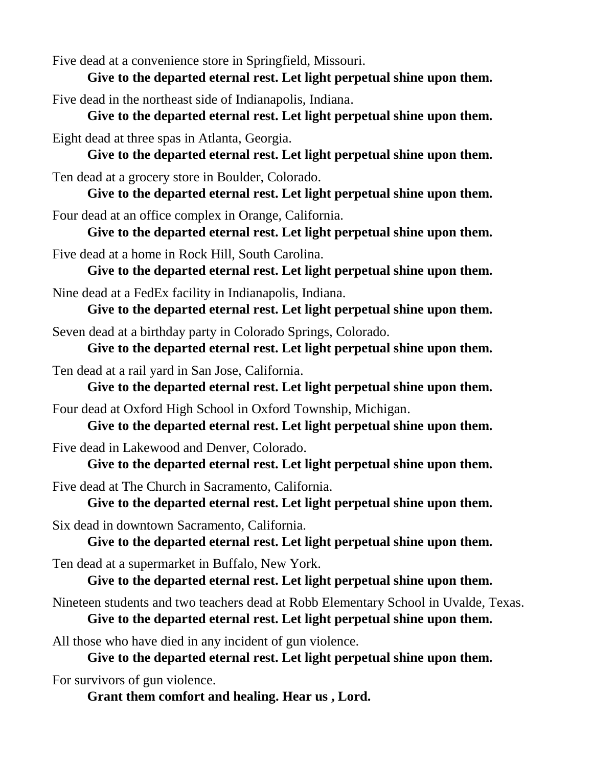Five dead at a convenience store in Springfield, Missouri.

**Give to the departed eternal rest. Let light perpetual shine upon them.**

Five dead in the northeast side of Indianapolis, Indiana.

**Give to the departed eternal rest. Let light perpetual shine upon them.**

Eight dead at three spas in Atlanta, Georgia.

**Give to the departed eternal rest. Let light perpetual shine upon them.**

Ten dead at a grocery store in Boulder, Colorado.

**Give to the departed eternal rest. Let light perpetual shine upon them.**

Four dead at an office complex in Orange, California.

**Give to the departed eternal rest. Let light perpetual shine upon them.**

Five dead at a home in Rock Hill, South Carolina.

**Give to the departed eternal rest. Let light perpetual shine upon them.**

Nine dead at a FedEx facility in Indianapolis, Indiana.

**Give to the departed eternal rest. Let light perpetual shine upon them.**

Seven dead at a birthday party in Colorado Springs, Colorado.

**Give to the departed eternal rest. Let light perpetual shine upon them.**

Ten dead at a rail yard in San Jose, California.

**Give to the departed eternal rest. Let light perpetual shine upon them.**

Four dead at Oxford High School in Oxford Township, Michigan.

**Give to the departed eternal rest. Let light perpetual shine upon them.**

Five dead in Lakewood and Denver, Colorado.

**Give to the departed eternal rest. Let light perpetual shine upon them.**

Five dead at The Church in Sacramento, California.

**Give to the departed eternal rest. Let light perpetual shine upon them.**

Six dead in downtown Sacramento, California.

**Give to the departed eternal rest. Let light perpetual shine upon them.**

Ten dead at a supermarket in Buffalo, New York.

**Give to the departed eternal rest. Let light perpetual shine upon them.**

Nineteen students and two teachers dead at Robb Elementary School in Uvalde, Texas. **Give to the departed eternal rest. Let light perpetual shine upon them.**

All those who have died in any incident of gun violence.

**Give to the departed eternal rest. Let light perpetual shine upon them.**

For survivors of gun violence.

**Grant them comfort and healing. Hear us , Lord.**